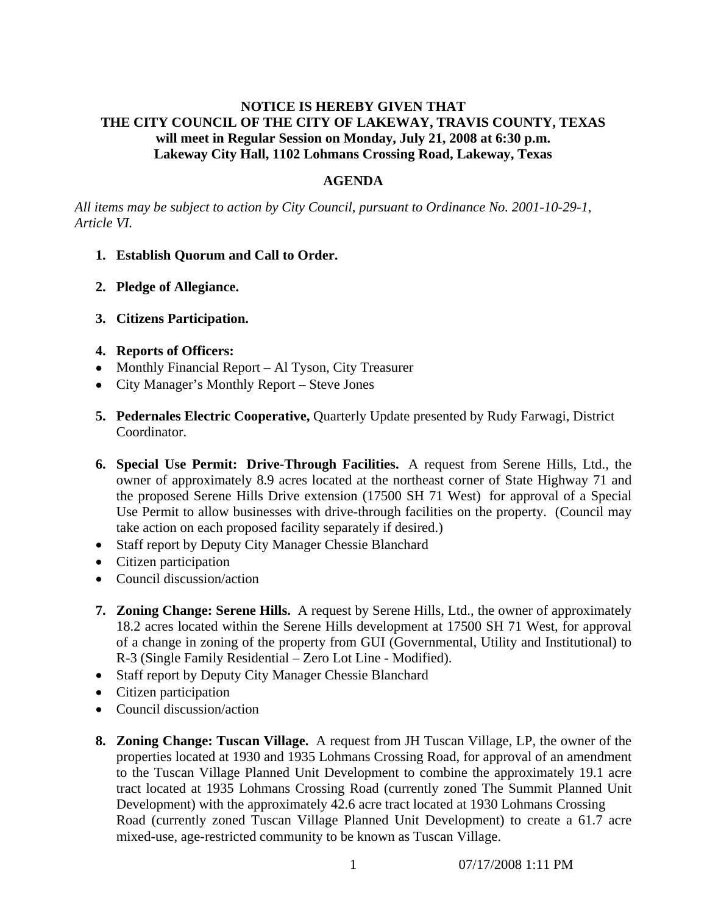# **NOTICE IS HEREBY GIVEN THAT THE CITY COUNCIL OF THE CITY OF LAKEWAY, TRAVIS COUNTY, TEXAS will meet in Regular Session on Monday, July 21, 2008 at 6:30 p.m. Lakeway City Hall, 1102 Lohmans Crossing Road, Lakeway, Texas**

### **AGENDA**

*All items may be subject to action by City Council, pursuant to Ordinance No. 2001-10-29-1, Article VI.* 

- **1. Establish Quorum and Call to Order.**
- **2. Pledge of Allegiance.**
- **3. Citizens Participation.**
- **4. Reports of Officers:**
- Monthly Financial Report Al Tyson, City Treasurer
- City Manager's Monthly Report Steve Jones
- **5. Pedernales Electric Cooperative,** Quarterly Update presented by Rudy Farwagi, District Coordinator.
- **6. Special Use Permit: Drive-Through Facilities.** A request from Serene Hills, Ltd., the owner of approximately 8.9 acres located at the northeast corner of State Highway 71 and the proposed Serene Hills Drive extension (17500 SH 71 West) for approval of a Special Use Permit to allow businesses with drive-through facilities on the property. (Council may take action on each proposed facility separately if desired.)
- Staff report by Deputy City Manager Chessie Blanchard
- Citizen participation
- Council discussion/action
- **7. Zoning Change: Serene Hills.** A request by Serene Hills, Ltd., the owner of approximately 18.2 acres located within the Serene Hills development at 17500 SH 71 West, for approval of a change in zoning of the property from GUI (Governmental, Utility and Institutional) to R-3 (Single Family Residential – Zero Lot Line - Modified).
- Staff report by Deputy City Manager Chessie Blanchard
- Citizen participation
- Council discussion/action
- **8. Zoning Change: Tuscan Village.** A request from JH Tuscan Village, LP, the owner of the properties located at 1930 and 1935 Lohmans Crossing Road, for approval of an amendment to the Tuscan Village Planned Unit Development to combine the approximately 19.1 acre tract located at 1935 Lohmans Crossing Road (currently zoned The Summit Planned Unit Development) with the approximately 42.6 acre tract located at 1930 Lohmans Crossing Road (currently zoned Tuscan Village Planned Unit Development) to create a 61.7 acre mixed-use, age-restricted community to be known as Tuscan Village.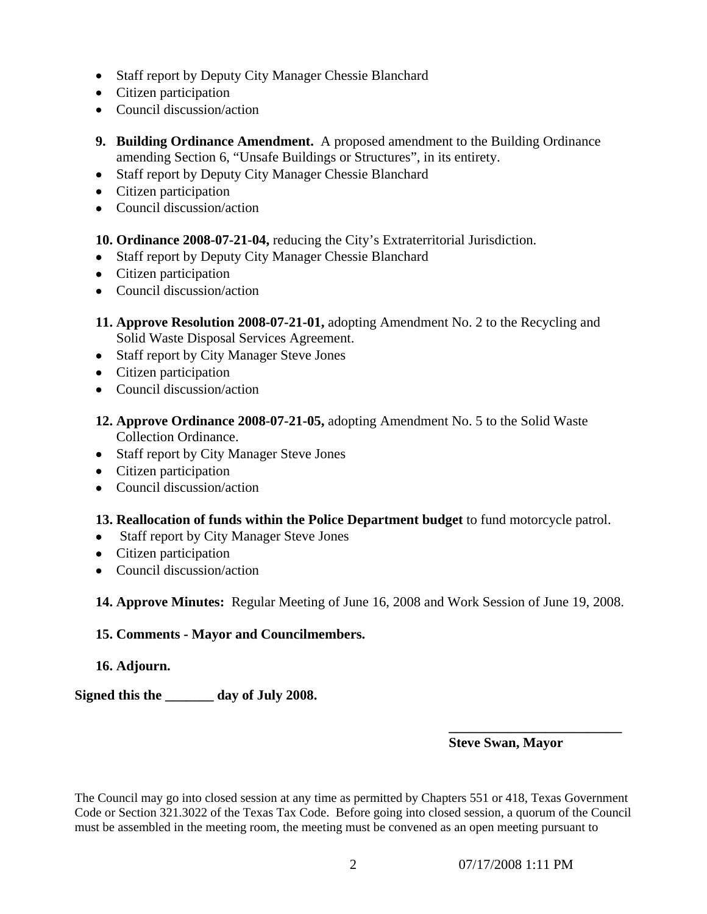- Staff report by Deputy City Manager Chessie Blanchard
- Citizen participation
- Council discussion/action
- **9. Building Ordinance Amendment.** A proposed amendment to the Building Ordinance amending Section 6, "Unsafe Buildings or Structures", in its entirety.
- Staff report by Deputy City Manager Chessie Blanchard
- Citizen participation
- Council discussion/action
- **10. Ordinance 2008-07-21-04,** reducing the City's Extraterritorial Jurisdiction.
- Staff report by Deputy City Manager Chessie Blanchard
- Citizen participation
- Council discussion/action
- **11. Approve Resolution 2008-07-21-01,** adopting Amendment No. 2 to the Recycling and Solid Waste Disposal Services Agreement.
- Staff report by City Manager Steve Jones
- Citizen participation
- Council discussion/action
- **12. Approve Ordinance 2008-07-21-05,** adopting Amendment No. 5 to the Solid Waste Collection Ordinance.
- Staff report by City Manager Steve Jones
- Citizen participation
- Council discussion/action
- **13. Reallocation of funds within the Police Department budget** to fund motorcycle patrol.
- Staff report by City Manager Steve Jones
- Citizen participation
- Council discussion/action

**14. Approve Minutes:** Regular Meeting of June 16, 2008 and Work Session of June 19, 2008.

# **15. Comments - Mayor and Councilmembers.**

# **16. Adjourn.**

**Signed this the \_\_\_\_\_\_\_ day of July 2008.** 

# **Steve Swan, Mayor**

The Council may go into closed session at any time as permitted by Chapters 551 or 418, Texas Government Code or Section 321.3022 of the Texas Tax Code. Before going into closed session, a quorum of the Council must be assembled in the meeting room, the meeting must be convened as an open meeting pursuant to

 **\_\_\_\_\_\_\_\_\_\_\_\_\_\_\_\_\_\_\_\_\_\_\_\_\_**